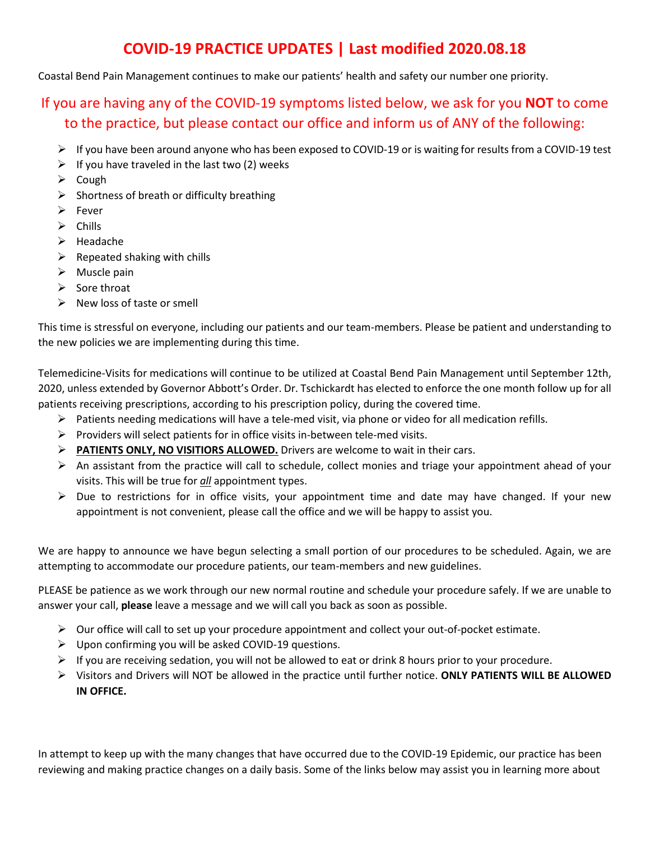# **COVID-19 PRACTICE UPDATES | Last modified 2020.08.18**

Coastal Bend Pain Management continues to make our patients' health and safety our number one priority.

# If you are having any of the COVID-19 symptoms listed below, we ask for you **NOT** to come to the practice, but please contact our office and inform us of ANY of the following:

- $\triangleright$  If you have been around anyone who has been exposed to COVID-19 or is waiting for results from a COVID-19 test
- $\triangleright$  If you have traveled in the last two (2) weeks
- $\triangleright$  Cough
- $\triangleright$  Shortness of breath or difficulty breathing
- $\triangleright$  Fever
- $\triangleright$  Chills
- $\triangleright$  Headache
- $\triangleright$  Repeated shaking with chills
- $\triangleright$  Muscle pain
- $\triangleright$  Sore throat
- $\triangleright$  New loss of taste or smell

This time is stressful on everyone, including our patients and our team-members. Please be patient and understanding to the new policies we are implementing during this time.

Telemedicine-Visits for medications will continue to be utilized at Coastal Bend Pain Management until September 12th, 2020, unless extended by Governor Abbott's Order. Dr. Tschickardt has elected to enforce the one month follow up for all patients receiving prescriptions, according to his prescription policy, during the covered time.

- $\triangleright$  Patients needing medications will have a tele-med visit, via phone or video for all medication refills.
- $\triangleright$  Providers will select patients for in office visits in-between tele-med visits.
- **PATIENTS ONLY, NO VISITIORS ALLOWED.** Drivers are welcome to wait in their cars.
- $\triangleright$  An assistant from the practice will call to schedule, collect monies and triage your appointment ahead of your visits. This will be true for *all* appointment types.
- $\triangleright$  Due to restrictions for in office visits, your appointment time and date may have changed. If your new appointment is not convenient, please call the office and we will be happy to assist you.

We are happy to announce we have begun selecting a small portion of our procedures to be scheduled. Again, we are attempting to accommodate our procedure patients, our team-members and new guidelines.

PLEASE be patience as we work through our new normal routine and schedule your procedure safely. If we are unable to answer your call, **please** leave a message and we will call you back as soon as possible.

- $\triangleright$  Our office will call to set up your procedure appointment and collect your out-of-pocket estimate.
- $\triangleright$  Upon confirming you will be asked COVID-19 questions.
- $\triangleright$  If you are receiving sedation, you will not be allowed to eat or drink 8 hours prior to your procedure.
- Visitors and Drivers will NOT be allowed in the practice until further notice. **ONLY PATIENTS WILL BE ALLOWED IN OFFICE.**

In attempt to keep up with the many changes that have occurred due to the COVID-19 Epidemic, our practice has been reviewing and making practice changes on a daily basis. Some of the links below may assist you in learning more about